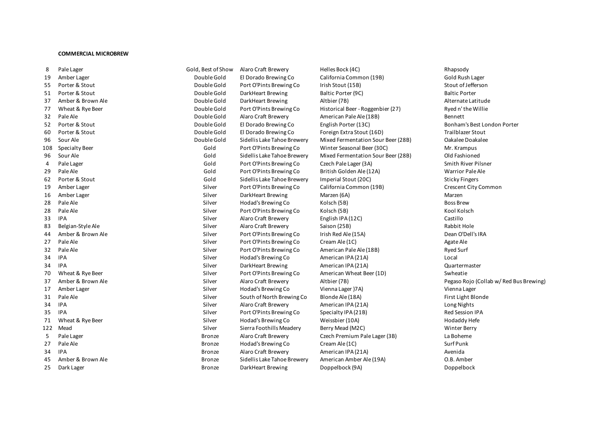## **COMMERCIAL MICROBREW**

| 8   | Pale Lager            | Gold, Best of Show | Alaro Craft Brewery         | Helles Bock (4C)                   | Rhapsody                   |
|-----|-----------------------|--------------------|-----------------------------|------------------------------------|----------------------------|
| 19  | Amber Lager           | Double Gold        | El Dorado Brewing Co        | California Common (19B)            | Gold Rush Lager            |
| 55  | Porter & Stout        | Double Gold        | Port O'Pints Brewing Co     | Irish Stout (15B)                  | Stout of Jefferson         |
| 51  | Porter & Stout        | Double Gold        | DarkHeart Brewing           | Baltic Porter (9C)                 | <b>Baltic Porter</b>       |
| 37  | Amber & Brown Ale     | Double Gold        | DarkHeart Brewing           | Altbier (7B)                       | Alternate Latitude         |
| 77  | Wheat & Rye Beer      | Double Gold        | Port O'Pints Brewing Co     | Historical Beer - Roggenbier (27)  | Ryed n'the Willie          |
| 32  | Pale Ale              | Double Gold        | <b>Alaro Craft Brewery</b>  | American Pale Ale (18B)            | Bennett                    |
| 52  | Porter & Stout        | Double Gold        | El Dorado Brewing Co        | English Porter (13C)               | Bonham's Best Lon          |
| 60  | Porter & Stout        | Double Gold        | El Dorado Brewing Co        | Foreign Extra Stout (16D)          | <b>Trailblazer Stout</b>   |
| 96  | Sour Ale              | Double Gold        | Sidellis Lake Tahoe Brewery | Mixed Fermentation Sour Beer (28B) | Oakalee Doakalee           |
| 108 |                       | Gold               | Port O'Pints Brewing Co     | Winter Seasonal Beer (30C)         |                            |
|     | <b>Specialty Beer</b> | Gold               |                             |                                    | Mr. Krampus                |
| 96  | Sour Ale              |                    | Sidellis Lake Tahoe Brewery | Mixed Fermentation Sour Beer (28B) | Old Fashioned              |
| 4   | Pale Lager            | Gold               | Port O'Pints Brewing Co     | Czech Pale Lager (3A)              | <b>Smith River Pilsner</b> |
| 29  | Pale Ale              | Gold               | Port O'Pints Brewing Co     | British Golden Ale (12A)           | <b>Warrior Pale Ale</b>    |
| 62  | Porter & Stout        | Gold               | Sidellis Lake Tahoe Brewery | Imperial Stout (20C)               | <b>Sticky Fingers</b>      |
| 19  | Amber Lager           | Silver             | Port O'Pints Brewing Co     | California Common (19B)            | Crescent City Comi         |
| 16  | Amber Lager           | Silver             | DarkHeart Brewing           | Marzen (6A)                        | Marzen                     |
| 28  | Pale Ale              | Silver             | Hodad's Brewing Co          | Kolsch (5B)                        | <b>Boss Brew</b>           |
| 28  | Pale Ale              | Silver             | Port O'Pints Brewing Co     | Kolsch (5B)                        | Kool Kolsch                |
| 33  | <b>IPA</b>            | Silver             | <b>Alaro Craft Brewery</b>  | English IPA (12C)                  | Castillo                   |
| 83  | Belgian-Style Ale     | Silver             | Alaro Craft Brewery         | Saison (25B)                       | Rabbit Hole                |
| 44  | Amber & Brown Ale     | Silver             | Port O'Pints Brewing Co     | Irish Red Ale (15A)                | Dean O'Dell's IRA          |
| 27  | Pale Ale              | Silver             | Port O'Pints Brewing Co     | Cream Ale (1C)                     | Agate Ale                  |
| 32  | Pale Ale              | Silver             | Port O'Pints Brewing Co     | American Pale Ale (18B)            | <b>Ryed Surf</b>           |
| 34  | <b>IPA</b>            | Silver             | Hodad's Brewing Co          | American IPA (21A)                 | Local                      |
| 34  | <b>IPA</b>            | Silver             | DarkHeart Brewing           | American IPA (21A)                 | Quartermaster              |
| 70  | Wheat & Rye Beer      | Silver             | Port O'Pints Brewing Co     | American Wheat Beer (1D)           | Swheatie                   |
| 37  | Amber & Brown Ale     | Silver             | <b>Alaro Craft Brewery</b>  | Altbier (7B)                       | Pegaso Rojo (Collal        |
| 17  | Amber Lager           | Silver             | Hodad's Brewing Co          | Vienna Lager (7A)                  | Vienna Lager               |
| 31  | Pale Ale              | Silver             | South of North Brewing Co   | Blonde Ale (18A)                   | First Light Blonde         |
| 34  | <b>IPA</b>            | Silver             | <b>Alaro Craft Brewery</b>  | American IPA (21A)                 | Long Nights                |
| 35  | <b>IPA</b>            | Silver             | Port O'Pints Brewing Co     | Specialty IPA (21B)                | Red Session IPA            |
| 71  | Wheat & Rye Beer      | Silver             | Hodad's Brewing Co          | Weissbier (10A)                    | Hodaddy Hefe               |
| 122 | Mead                  | Silver             | Sierra Foothills Meadery    | Berry Mead (M2C)                   | Winter Berry               |
| 5   | Pale Lager            | <b>Bronze</b>      | Alaro Craft Brewery         | Czech Premium Pale Lager (3B)      | La Boheme                  |
| 27  | Pale Ale              | Bronze             | Hodad's Brewing Co          | Cream Ale (1C)                     | Surf Punk                  |
| 34  | <b>IPA</b>            | <b>Bronze</b>      | <b>Alaro Craft Brewery</b>  | American IPA (21A)                 | Avenida                    |
| 45  | Amber & Brown Ale     | Bronze             | Sidellis Lake Tahoe Brewery | American Amber Ale (19A)           | O.B. Amber                 |
| 25  | Dark Lager            | <b>Bronze</b>      | DarkHeart Brewing           | Doppelbock (9A)                    | Doppelbock                 |

Bonham's Best London Porter Crescent City Common Pegaso Rojo (Collab w/ Red Bus Brewing)<br>Vienna Lager First Light Blonde<br>Long Nights